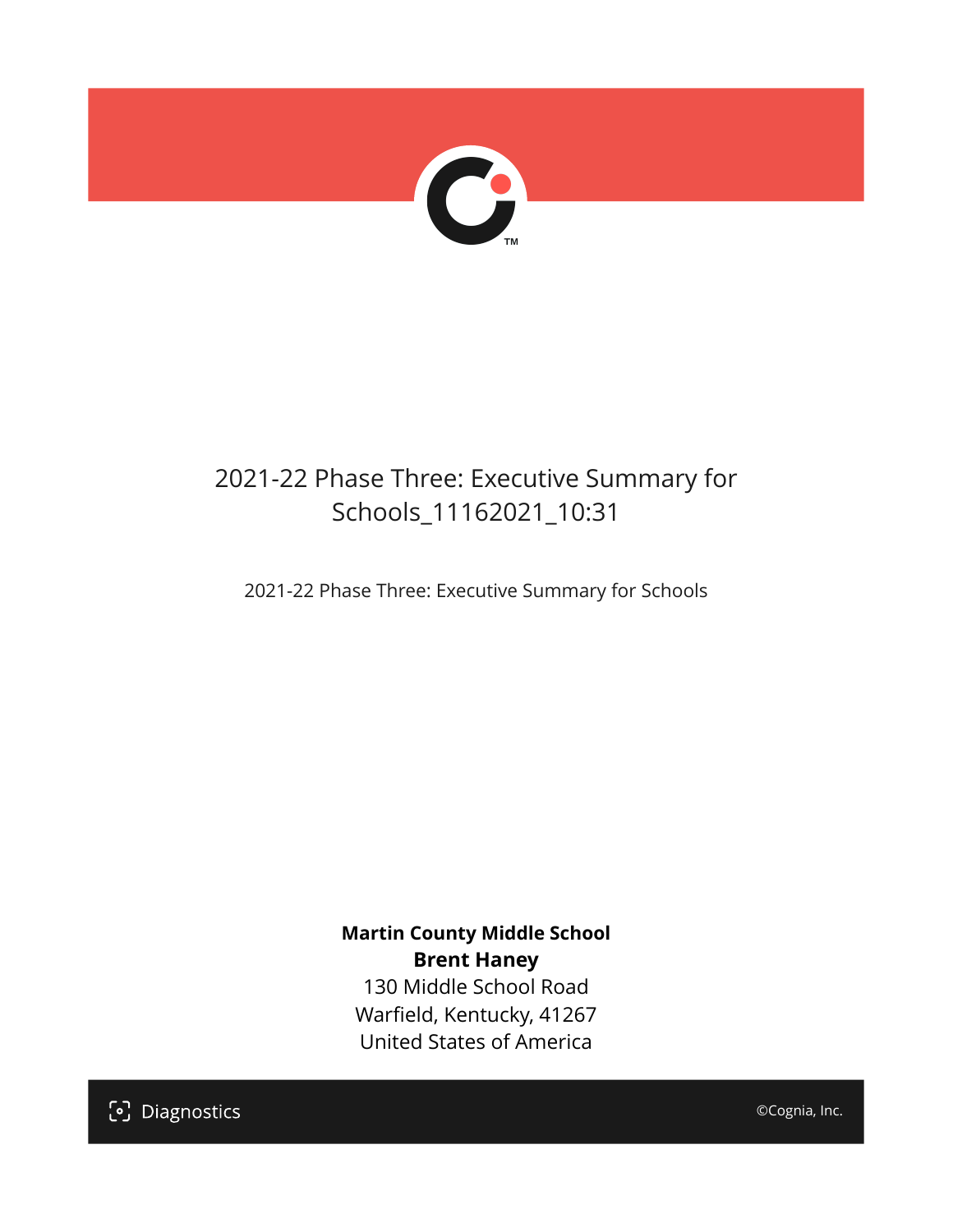

## 2021-22 Phase Three: Executive Summary for Schools\_11162021\_10:31

2021-22 Phase Three: Executive Summary for Schools

**Martin County Middle School Brent Haney** 130 Middle School Road Warfield, Kentucky, 41267 United States of America

[၁] Diagnostics

©Cognia, Inc.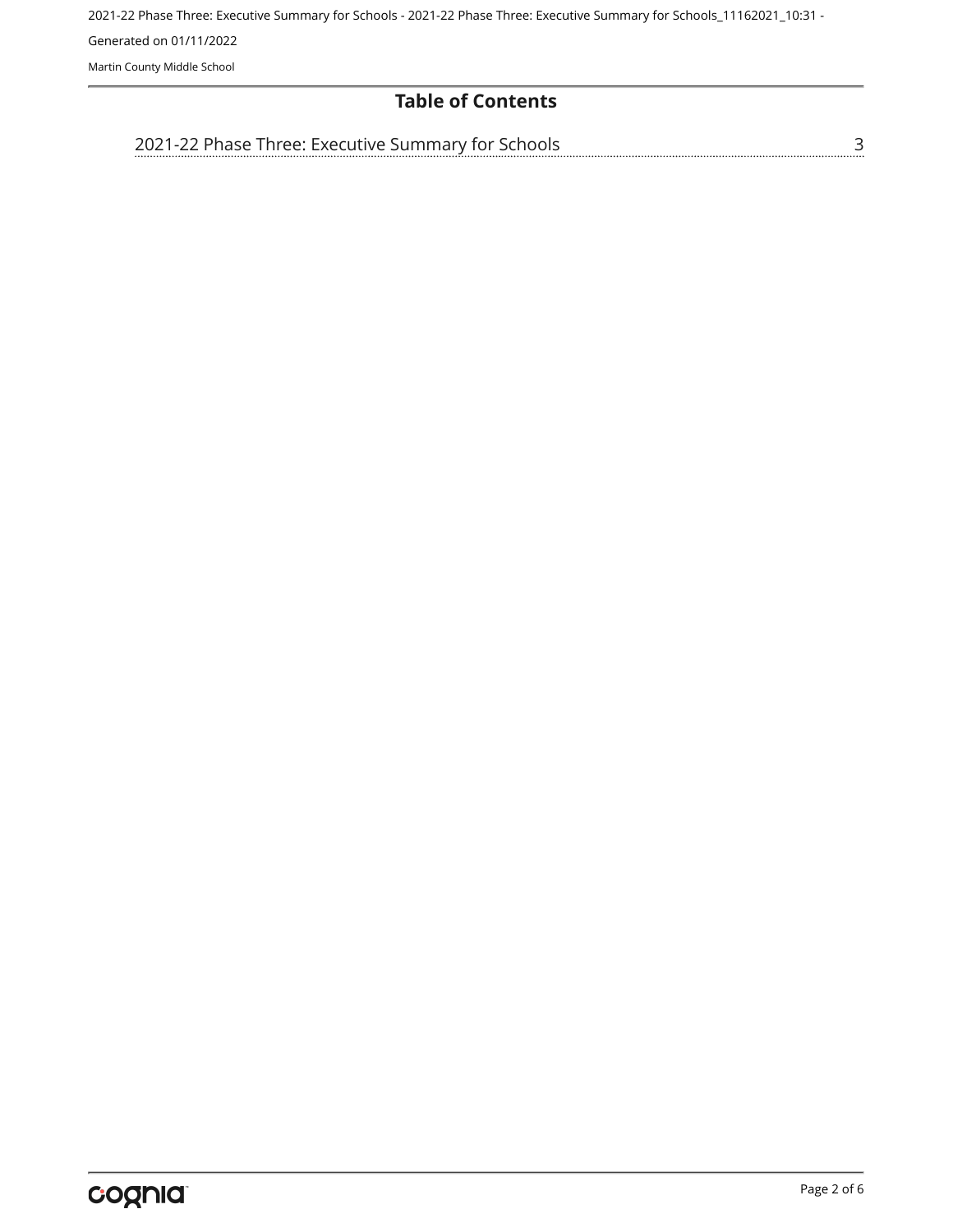2021-22 Phase Three: Executive Summary for Schools - 2021-22 Phase Three: Executive Summary for Schools\_11162021\_10:31 - Generated on 01/11/2022 Martin County Middle School

#### **Table of Contents**

[2021-22 Phase Three: Executive Summary for Schools](#page-2-0)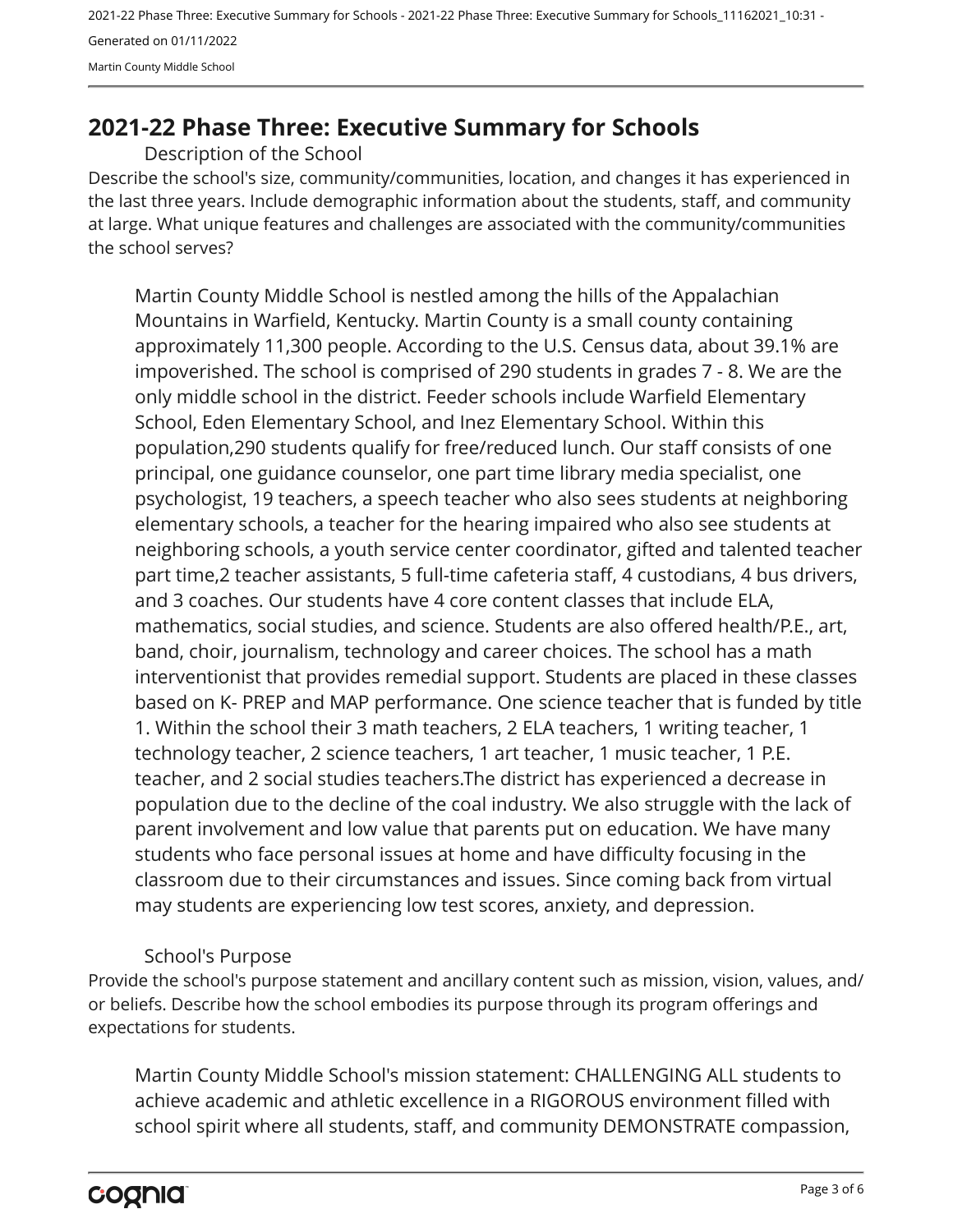2021-22 Phase Three: Executive Summary for Schools - 2021-22 Phase Three: Executive Summary for Schools\_11162021\_10:31 - Generated on 01/11/2022 Martin County Middle School

### <span id="page-2-0"></span>**2021-22 Phase Three: Executive Summary for Schools**

Description of the School

Describe the school's size, community/communities, location, and changes it has experienced in the last three years. Include demographic information about the students, staff, and community at large. What unique features and challenges are associated with the community/communities the school serves?

Martin County Middle School is nestled among the hills of the Appalachian Mountains in Warfield, Kentucky. Martin County is a small county containing approximately 11,300 people. According to the U.S. Census data, about 39.1% are impoverished. The school is comprised of 290 students in grades 7 - 8. We are the only middle school in the district. Feeder schools include Warfield Elementary School, Eden Elementary School, and Inez Elementary School. Within this population,290 students qualify for free/reduced lunch. Our staff consists of one principal, one guidance counselor, one part time library media specialist, one psychologist, 19 teachers, a speech teacher who also sees students at neighboring elementary schools, a teacher for the hearing impaired who also see students at neighboring schools, a youth service center coordinator, gifted and talented teacher part time,2 teacher assistants, 5 full-time cafeteria staff, 4 custodians, 4 bus drivers, and 3 coaches. Our students have 4 core content classes that include ELA, mathematics, social studies, and science. Students are also offered health/P.E., art, band, choir, journalism, technology and career choices. The school has a math interventionist that provides remedial support. Students are placed in these classes based on K- PREP and MAP performance. One science teacher that is funded by title 1. Within the school their 3 math teachers, 2 ELA teachers, 1 writing teacher, 1 technology teacher, 2 science teachers, 1 art teacher, 1 music teacher, 1 P.E. teacher, and 2 social studies teachers.The district has experienced a decrease in population due to the decline of the coal industry. We also struggle with the lack of parent involvement and low value that parents put on education. We have many students who face personal issues at home and have difficulty focusing in the classroom due to their circumstances and issues. Since coming back from virtual may students are experiencing low test scores, anxiety, and depression.

#### School's Purpose

Provide the school's purpose statement and ancillary content such as mission, vision, values, and/ or beliefs. Describe how the school embodies its purpose through its program offerings and expectations for students.

Martin County Middle School's mission statement: CHALLENGING ALL students to achieve academic and athletic excellence in a RIGOROUS environment filled with school spirit where all students, staff, and community DEMONSTRATE compassion,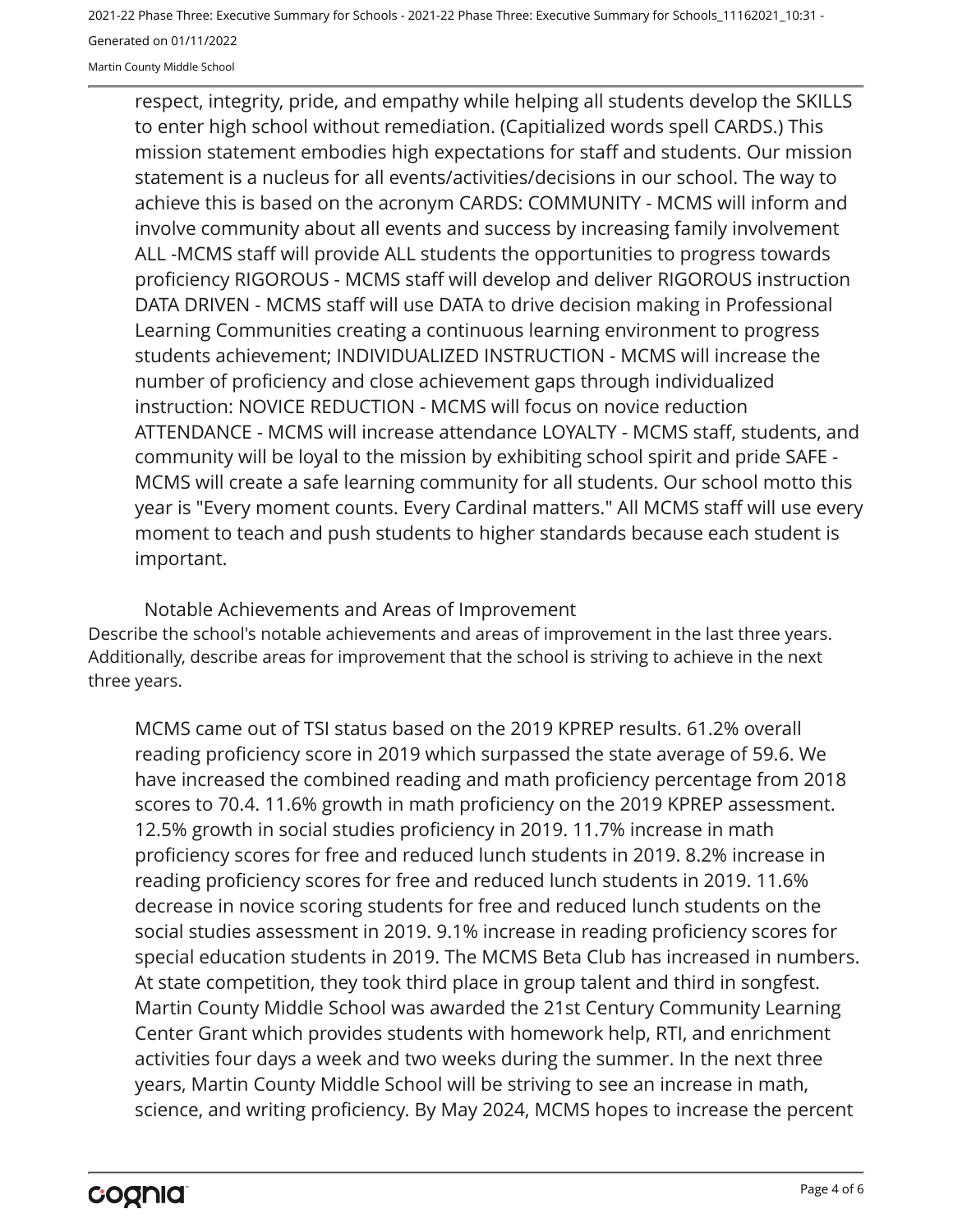2021-22 Phase Three: Executive Summary for Schools - 2021-22 Phase Three: Executive Summary for Schools\_11162021\_10:31 - Generated on 01/11/2022 Martin County Middle School

respect, integrity, pride, and empathy while helping all students develop the SKILLS to enter high school without remediation. (Capitialized words spell CARDS.) This mission statement embodies high expectations for staff and students. Our mission statement is a nucleus for all events/activities/decisions in our school. The way to achieve this is based on the acronym CARDS: COMMUNITY - MCMS will inform and involve community about all events and success by increasing family involvement ALL -MCMS staff will provide ALL students the opportunities to progress towards proficiency RIGOROUS - MCMS staff will develop and deliver RIGOROUS instruction DATA DRIVEN - MCMS staff will use DATA to drive decision making in Professional Learning Communities creating a continuous learning environment to progress students achievement; INDIVIDUALIZED INSTRUCTION - MCMS will increase the number of proficiency and close achievement gaps through individualized instruction: NOVICE REDUCTION - MCMS will focus on novice reduction ATTENDANCE - MCMS will increase attendance LOYALTY - MCMS staff, students, and community will be loyal to the mission by exhibiting school spirit and pride SAFE - MCMS will create a safe learning community for all students. Our school motto this year is "Every moment counts. Every Cardinal matters." All MCMS staff will use every moment to teach and push students to higher standards because each student is important.

Describe the school's notable achievements and areas of improvement in the last three years. Additionally, describe areas for improvement that the school is striving to achieve in the next three years. Notable Achievements and Areas of Improvement

MCMS came out of TSI status based on the 2019 KPREP results. 61.2% overall reading proficiency score in 2019 which surpassed the state average of 59.6. We have increased the combined reading and math proficiency percentage from 2018 scores to 70.4. 11.6% growth in math proficiency on the 2019 KPREP assessment. 12.5% growth in social studies proficiency in 2019. 11.7% increase in math proficiency scores for free and reduced lunch students in 2019. 8.2% increase in reading proficiency scores for free and reduced lunch students in 2019. 11.6% decrease in novice scoring students for free and reduced lunch students on the social studies assessment in 2019. 9.1% increase in reading proficiency scores for special education students in 2019. The MCMS Beta Club has increased in numbers. At state competition, they took third place in group talent and third in songfest. Martin County Middle School was awarded the 21st Century Community Learning Center Grant which provides students with homework help, RTI, and enrichment activities four days a week and two weeks during the summer. In the next three years, Martin County Middle School will be striving to see an increase in math, science, and writing proficiency. By May 2024, MCMS hopes to increase the percent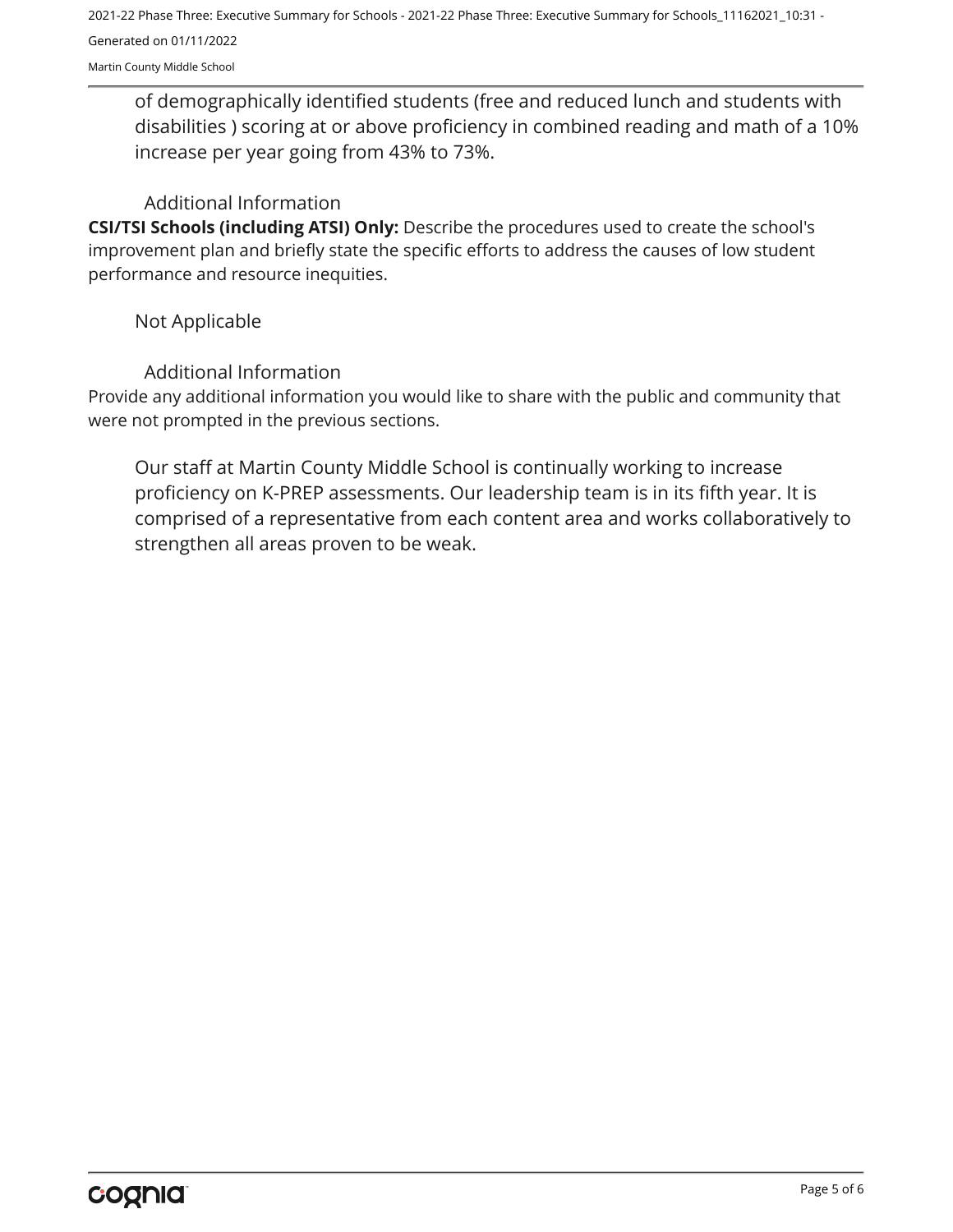2021-22 Phase Three: Executive Summary for Schools - 2021-22 Phase Three: Executive Summary for Schools\_11162021\_10:31 - Generated on 01/11/2022

Martin County Middle School

of demographically identified students (free and reduced lunch and students with disabilities ) scoring at or above proficiency in combined reading and math of a 10% increase per year going from 43% to 73%.

#### Additional Information

**CSI/TSI Schools (including ATSI) Only:** Describe the procedures used to create the school's improvement plan and briefly state the specific efforts to address the causes of low student performance and resource inequities.

#### Not Applicable

#### Additional Information

Provide any additional information you would like to share with the public and community that were not prompted in the previous sections.

Our staff at Martin County Middle School is continually working to increase proficiency on K-PREP assessments. Our leadership team is in its fifth year. It is comprised of a representative from each content area and works collaboratively to strengthen all areas proven to be weak.